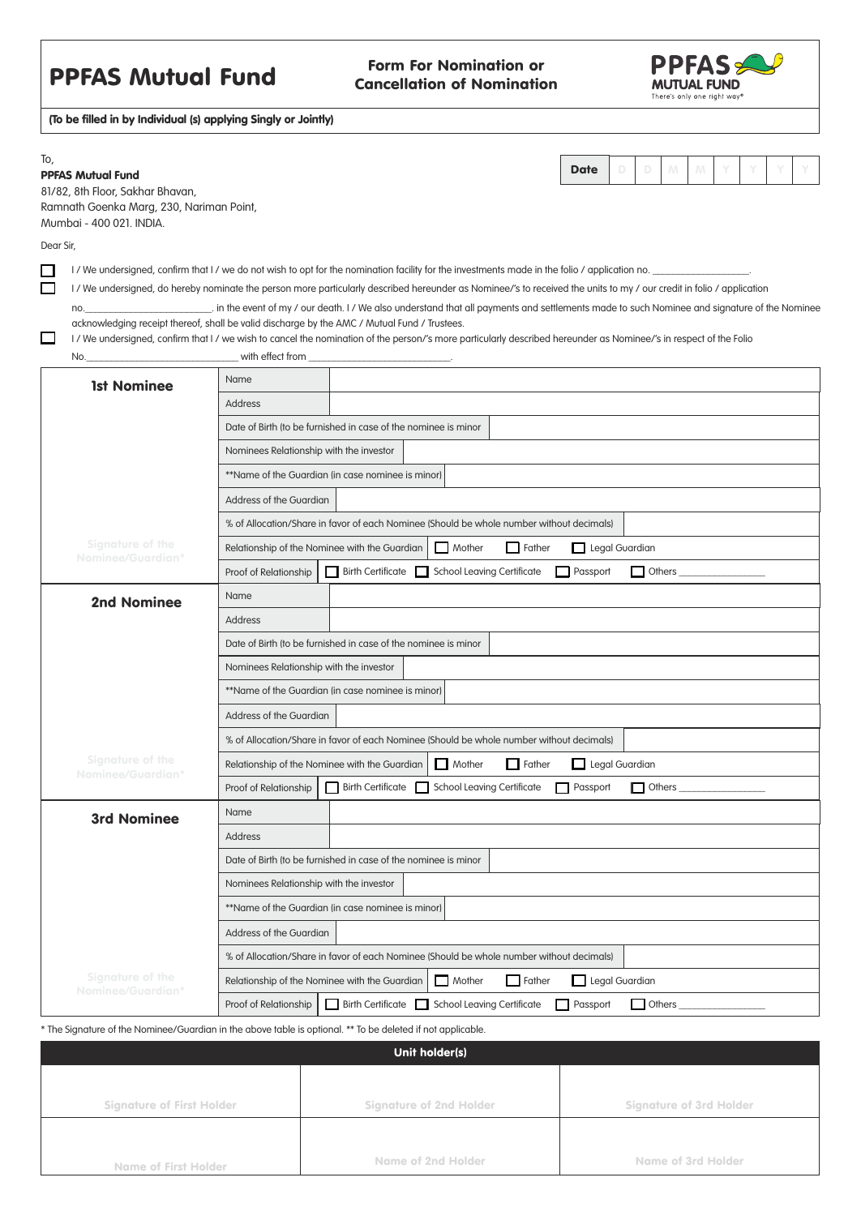## **PPFAS Mutual Fund** Form For Nomination or

## Cancellation of Nomination



(To be filled in by Individual (s) applying Singly or Jointly)

| To, |                          |  |
|-----|--------------------------|--|
|     | <b>PPFAS Mutual Fund</b> |  |

| <b>Date</b> |  |  |  |  |
|-------------|--|--|--|--|

81/82, 8th Floor, Sakhar Bhavan, Ramnath Goenka Marg, 230, Nariman Point, Mumbai - 400 021. INDIA.

Dear Sir,

 $\Box$ 

 $\Box$ 

I / We undersigned, confirm that I / we do not wish to opt for the nomination facility for the investments made in the folio / application no.

I / We undersigned, do hereby nominate the person more particularly described hereunder as Nominee/'s to received the units to my / our credit in folio / application

no.\_\_\_\_\_\_\_\_\_\_\_\_\_\_\_\_\_\_\_\_\_\_\_\_\_. in the event of my / our death. I / We also understand that all payments and settlements made to such Nominee and signature of the Nominee acknowledging receipt thereof, shall be valid discharge by the AMC / Mutual Fund / Trustees.

I / We undersigned, confirm that I / we wish to cancel the nomination of the person/'s more particularly described hereunder as Nominee/'s in respect of the Folio No.

| <b>1st Nominee</b>                                       | Name                                                                                                                                                                                                                |                                                                                  |  |  |  |  |
|----------------------------------------------------------|---------------------------------------------------------------------------------------------------------------------------------------------------------------------------------------------------------------------|----------------------------------------------------------------------------------|--|--|--|--|
|                                                          | Address                                                                                                                                                                                                             |                                                                                  |  |  |  |  |
|                                                          | Date of Birth Ito be furnished in case of the nominee is minor                                                                                                                                                      |                                                                                  |  |  |  |  |
|                                                          | Nominees Relationship with the investor                                                                                                                                                                             |                                                                                  |  |  |  |  |
|                                                          | **Name of the Guardian (in case nominee is minor)                                                                                                                                                                   |                                                                                  |  |  |  |  |
|                                                          | Address of the Guardian                                                                                                                                                                                             |                                                                                  |  |  |  |  |
|                                                          | % of Allocation/Share in favor of each Nominee (Should be whole number without decimals)                                                                                                                            |                                                                                  |  |  |  |  |
| Signature of the<br>Nominee/Guardian*                    | $\Box$ Father<br>Legal Guardian<br>Relationship of the Nominee with the Guardian<br>Mother                                                                                                                          |                                                                                  |  |  |  |  |
|                                                          | Proof of Relationship                                                                                                                                                                                               | $\Box$ Others<br>Birth Certificate School Leaving Certificate<br>$\Box$ Passport |  |  |  |  |
| <b>2nd Nominee</b>                                       | Name                                                                                                                                                                                                                |                                                                                  |  |  |  |  |
|                                                          | <b>Address</b>                                                                                                                                                                                                      |                                                                                  |  |  |  |  |
|                                                          | Date of Birth (to be furnished in case of the nominee is minor                                                                                                                                                      |                                                                                  |  |  |  |  |
|                                                          | Nominees Relationship with the investor                                                                                                                                                                             |                                                                                  |  |  |  |  |
|                                                          | **Name of the Guardian (in case nominee is minor)                                                                                                                                                                   |                                                                                  |  |  |  |  |
|                                                          | Address of the Guardian                                                                                                                                                                                             |                                                                                  |  |  |  |  |
|                                                          | % of Allocation/Share in favor of each Nominee (Should be whole number without decimals)                                                                                                                            |                                                                                  |  |  |  |  |
| <b>Signature of the</b><br>Nominee/Guardian <sup>*</sup> | Relationship of the Nominee with the Guardian<br>$\Box$ Mother<br>$\Box$ Father<br>Legal Guardian                                                                                                                   |                                                                                  |  |  |  |  |
|                                                          | Proof of Relationship                                                                                                                                                                                               | Birth Certificate School Leaving Certificate<br><b>Passport</b><br>$\Box$ Others |  |  |  |  |
| <b>3rd Nominee</b>                                       | Name                                                                                                                                                                                                                |                                                                                  |  |  |  |  |
|                                                          | Address                                                                                                                                                                                                             |                                                                                  |  |  |  |  |
|                                                          | Date of Birth (to be furnished in case of the nominee is minor                                                                                                                                                      |                                                                                  |  |  |  |  |
|                                                          | Nominees Relationship with the investor<br>**Name of the Guardian (in case nominee is minor)<br>Address of the Guardian<br>% of Allocation/Share in favor of each Nominee (Should be whole number without decimals) |                                                                                  |  |  |  |  |
|                                                          |                                                                                                                                                                                                                     |                                                                                  |  |  |  |  |
|                                                          |                                                                                                                                                                                                                     |                                                                                  |  |  |  |  |
|                                                          |                                                                                                                                                                                                                     |                                                                                  |  |  |  |  |
| <b>Signature of the</b><br>Nominee/Guardian*             | Relationship of the Nominee with the Guardian<br>Mother<br>Legal Guardian<br>Father                                                                                                                                 |                                                                                  |  |  |  |  |
|                                                          | Proof of Relationship                                                                                                                                                                                               | Birth Certificate School Leaving Certificate<br><b>Others</b><br><b>Passport</b> |  |  |  |  |

\* The Signature of the Nominee/Guardian in the above table is optional. \*\* To be deleted if not applicable.

| Unit holder(s)                   |                                |                                |  |  |  |
|----------------------------------|--------------------------------|--------------------------------|--|--|--|
|                                  |                                |                                |  |  |  |
| <b>Signature of First Holder</b> | <b>Signature of 2nd Holder</b> | <b>Signature of 3rd Holder</b> |  |  |  |
|                                  |                                |                                |  |  |  |
| <b>Name of First Holder</b>      | Name of 2nd Holder             | <b>Name of 3rd Holder</b>      |  |  |  |